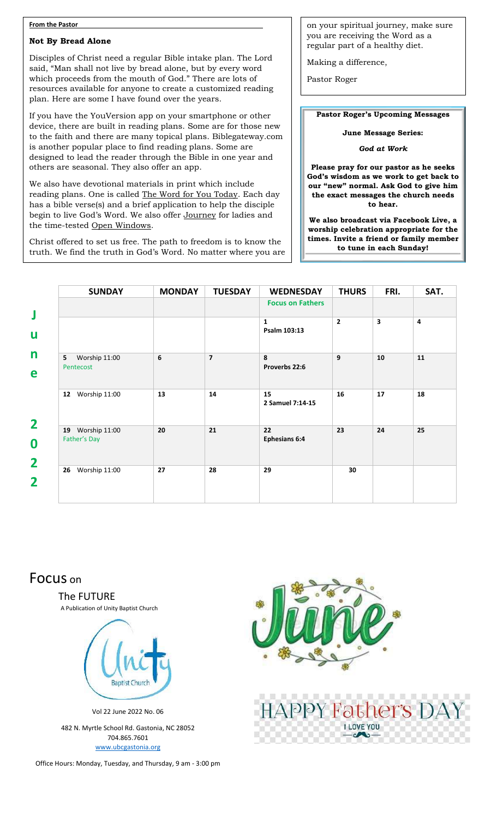#### **From the Pastor**

#### **Not By Bread Alone**

which proceeds from the mouth of God." There are lots of Disciples of Christ need a regular Bible intake plan. The Lord said, "Man shall not live by bread alone, but by every word resources available for anyone to create a customized reading plan. Here are some I have found over the years.

If you have the YouVersion app on your smartphone or other device, there are built in reading plans. Some are for those new to the faith and there are many topical plans. Biblegateway.com is another popular place to find reading plans. Some are designed to lead the reader through the Bible in one year and others are seasonal. They also offer an app.

We also have devotional materials in print which include reading plans. One is called The Word for You Today. Each day has a bible verse(s) and a brief application to help the disciple begin to live God's Word. We also offer Journey for ladies and the time-tested Open Windows.

Christ offered to set us free. The path to freedom is to know the truth. We find the truth in God's Word. No matter where you are on your spiritual journey, make sure you are receiving the Word as a regular part of a healthy diet.

Making a difference,

Pastor Roger

**Pastor Roger's Upcoming Messages**

**June Message Series:** 

*God at Work*

**Please pray for our pastor as he seeks God's wisdom as we work to get back to our "new" normal. Ask God to give him the exact messages the church needs to hear.**

**We also broadcast via Facebook Live, a worship celebration appropriate for the times. Invite a friend or family member to tune in each Sunday!**

| <b>SUNDAY</b>                    | <b>MONDAY</b> | <b>TUESDAY</b> | <b>WEDNESDAY</b>             | <b>THURS</b>   | FRI. | SAT. |
|----------------------------------|---------------|----------------|------------------------------|----------------|------|------|
|                                  |               |                | <b>Focus on Fathers</b>      |                |      |      |
|                                  |               |                | $\mathbf{1}$<br>Psalm 103:13 | $\overline{2}$ | 3    | 4    |
| Worship 11:00<br>5<br>Pentecost  | 6             | $\overline{7}$ | 8<br>Proverbs 22:6           | 9              | 10   | 11   |
| Worship 11:00<br>12              | 13            | 14             | 15<br>2 Samuel 7:14-15       | 16             | 17   | 18   |
| 19 Worship 11:00<br>Father's Day | 20            | 21             | 22<br><b>Ephesians 6:4</b>   | 23             | 24   | 25   |
| 26<br>Worship 11:00              | 27            | 28             | 29                           | 30             |      |      |

# Focus on

The FUTURE

A Publication of Unity Baptist Church



Vol 22 June 2022 No. 06

482 N. Myrtle School Rd. Gastonia, NC 28052 704.865.7601 [www.ubcgastonia.org](http://www.ubcgastonia.org/)

Office Hours: Monday, Tuesday, and Thursday, 9 am - 3:00 pm



**PPY Father's DA** 

**LLOVE YOU**